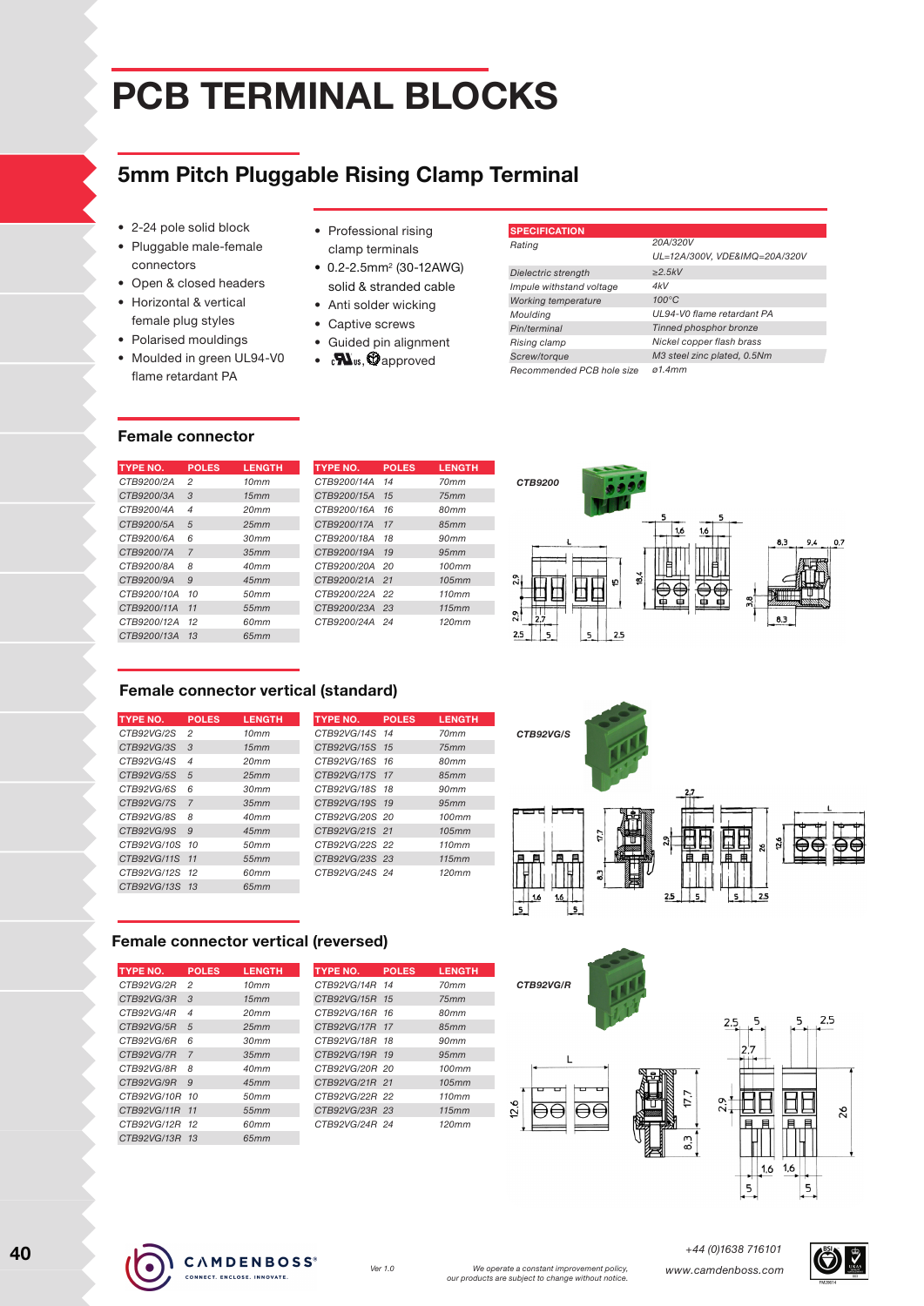# **PCB Terminal blocks**

## **5mm Pitch Pluggable Rising Clamp Terminal**

- 2-24 pole solid block
- Pluggable male-female connectors
- Open & closed headers
- Horizontal & vertical female plug styles
- Polarised mouldings
- Moulded in green UL94-V0 flame retardant PA
- Professional rising clamp terminals
- $\bullet$  0.2-2.5mm<sup>2</sup> (30-12AWG) solid & stranded cable
- Anti solder wicking
- Captive screws
- Guided pin alignment
- $\bullet$   $\bullet$   $\bullet$   $\bullet$  approved

| <b>SPECIFICATION</b>      |                               |
|---------------------------|-------------------------------|
| Rating                    | 20A/320V                      |
|                           | UL=12A/300V, VDE&IMQ=20A/320V |
| Dielectric strength       | >2.5kV                        |
| Impule withstand voltage  | 4kV                           |
| Working temperature       | $100^{\circ}$ C               |
| Moulding                  | UL94-V0 flame retardant PA    |
| Pin/terminal              | Tinned phosphor bronze        |
| Rising clamp              | Nickel copper flash brass     |
| Screw/torque              | M3 steel zinc plated, 0.5Nm   |
| Recommended PCB hole size | a1.4mm                        |

#### **Female connector**

**Type No.** *CTB9200/2A CTB9200/3A CTB9200/4A CTB9200/5A CTB9200/6A CTB9200/7A CTB9200/8A*

| <b>TYPE NO.</b>    | <b>POLES</b>   | <b>LENGTH</b>    | <b>TYPE NO.</b> | <b>POLES</b> |
|--------------------|----------------|------------------|-----------------|--------------|
| <i>CTB9200/2A</i>  | 2              | 10mm             | CTB9200/14A     | 14           |
| <i>CTB9200/3A</i>  | 3              | 15mm             | CTB9200/15A     | 15           |
| CTB9200/4A         | $\overline{4}$ | 20 <sub>mm</sub> | CTB9200/16A     | 16           |
| CTB9200/5A         | 5              | 25mm             | CTB9200/17A     | 17           |
| CTB9200/6A         | 6              | 30mm             | CTB9200/18A     | 18           |
| CTB9200/7A         | $\overline{7}$ | 35mm             | CTB9200/19A     | 19           |
| CTB9200/8A         | 8              | 40mm             | CTB9200/20A     | 20           |
| CTB9200/9A         | 9              | 45mm             | CTB9200/21A     | 21           |
| CTB9200/10A        | 10             | 50mm             | CTB9200/22A     | 22           |
| CTB9200/11A        | 11             | 55mm             | CTB9200/23A     | 23           |
| CTB9200/12A        | 12             | 60mm             | CTB9200/24A     | 24           |
| <i>CTB9200/13A</i> | 13             | 65mm             |                 |              |
|                    |                |                  |                 |              |



### **Female connector vertical (standard)**

| <b>TYPE NO.</b> | <b>POLES</b>   | <b>LENGTH</b>    | <b>TYPE NO.</b>    | <b>POLES</b> | <b>LENGTH</b> |
|-----------------|----------------|------------------|--------------------|--------------|---------------|
| CTB92VG/2S      | 2              | 10mm             | <i>CTB92VG/14S</i> | -14          | 70mm          |
| CTB92VG/3S      | 3              | 15mm             | CTB92VG/15S        | 15           | 75mm          |
| CTB92VG/4S      | $\overline{4}$ | 20 <sub>mm</sub> | CTB92VG/16S 16     |              | 80mm          |
| CTB92VG/5S      | 5              | 25mm             | CTB92VG/17S 17     |              | 85mm          |
| CTB92VG/6S      | 6              | 30mm             | CTB92VG/18S        | 18           | 90mm          |
| CTB92VG/7S      | $\overline{7}$ | 35mm             | CTB92VG/19S 19     |              | 95mm          |
| CTB92VG/8S      | 8              | 40mm             | CTB92VG/20S 20     |              | 100mm         |
| CTB92VG/9S      | $\mathcal{Q}$  | 45mm             | CTB92VG/21S 21     |              | 105mm         |
| CTB92VG/10S     | 10             | 50mm             | CTB92VG/22S 22     |              | 110mm         |
| CTB92VG/11S     | 11             | 55mm             | CTB92VG/23S 23     |              | 115mm         |
| CTB92VG/12S     | 12             | 60mm             | CTB92VG/24S 24     |              | 120mm         |
| CTB92VG/13S     | 13             | 65mm             |                    |              |               |





#### **Female connector vertical (reversed)**

| TYPE NO.           | <b>POLES</b>   | <b>LENGTH</b> | <b>TYPE NO.</b> | <b>POLES</b> | <b>LENGTH</b> |
|--------------------|----------------|---------------|-----------------|--------------|---------------|
| CTB92VG/2R         | $\overline{2}$ | 10mm          | CTB92VG/14R 14  |              | 70mm          |
| CTB92VG/3R         | $\mathcal{S}$  | 15mm          | CTB92VG/15R     | 15           | 75mm          |
| CTB92VG/4R         | 4              | 20mm          | CTB92VG/16R 16  |              | 80mm          |
| CTB92VG/5R         | 5              | 25mm          | CTB92VG/17R 17  |              | 85mm          |
| CTB92VG/6R         | 6              | 30mm          | CTB92VG/18R     | 18           | 90mm          |
| CTB92VG/7R         | $\overline{7}$ | 35mm          | CTB92VG/19R 19  |              | 95mm          |
| CTB92VG/8R         | 8              | 40mm          | CTB92VG/20R 20  |              | 100mm         |
| CTB92VG/9R         | 9              | 45mm          | CTB92VG/21R 21  |              | 105mm         |
| CTB92VG/10R        | 10             | 50mm          | CTB92VG/22R 22  |              | 110mm         |
| CTB92VG/11R        | 11             | 55mm          | CTB92VG/23R 23  |              | 115mm         |
| CTB92VG/12R        | 12             | 60mm          | CTB92VG/24R 24  |              | 120mm         |
| <i>CTB92VG/13R</i> | 1.3            | 65mm          |                 |              |               |
|                    |                |               |                 |              |               |



*CTB92VG/S*





*+44 (0)1638 716101*

17.7

 $\overline{8}$ 



 $12.6$